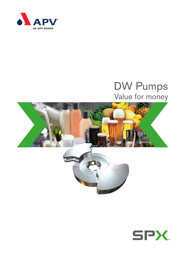

# DW Pumps Value for money



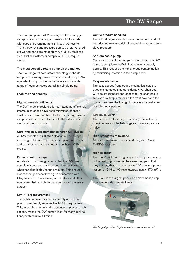### The DW Range

The DW pump from APV is designed for ultra hygienic applications. The range consists of 31 models with capacities ranging from 3 litres /100 revs to 1,016 /100 revs and pressures up to 30 bar. All product wetted parts are made from AISI 316L stainless steel and all elastomers comply with FDA-requirements.

#### The most versatile rotary pump on the market

The DW range reflects latest technology in the development of rotary positive displacement pumps. No equivalent pump on the market offers such a wide range of features incorporated in a single pump.

### Features and benefits

#### High volumetric efficiency

The DW range is designed for out-standing efficiency. Internal clearances have been minimised so that a smaller pump size can be selected for medium viscosity applications. This reduces both the initial investment and running costs.

### Ultra-hygienic, accommodates harsh CIP-cycles

All DW models are CIP/SIP cleanable. The pumps are designed to withstand rapid temperature changes and can therefore accommodate very harsh CIPcycles.

#### Patented rotor design

A patented rotor design means that the DW runs completely pulse-free and without internal cavitation when handling high viscous products. This ensures a consistent process flow e.g. in connection with filling machines. It also safeguards valves and other equipment that is liable to damage through pressure surges.

### Low NPSH-requirement

The highly improved suction capability of the DW pump considerably reduces the NPSH-requirement. This, in combination with the absence of pressure pulsations, makes the DW pumps ideal for many applications, such as ultra-filtration.

#### Gentle product handling

The rotor designs available ensure maximum product integrity and minimise risk of potential damage to sensitive products.

#### Self-drainable pump

Contrary to most lobe pumps on the market, the DW pump is completely self-drainable when vertically ported. This reduces the risk of cross contamination by minimising retention in the pump head.

#### Easy maintenance

The easy access front loaded mechanical seals reduce maintenance time considerably. All shaft seal O-rings are identical and access to the shaft seal is achieved by simply removing the front cover and the rotors. Likewise, the timing of rotors is an equally uncomplicated operation.

#### Low noise levels

The patented rotor design practically eliminates hydraulic noise and the helical gears minimise gearbox noise.

### High standards of hygiene

All pumps are ultra-hygienic and they are 3A and EHEDG approved.

### High capacity

The DW 6 and DW 7 high capacity pumps are unique in the field of positive displacement pumps in that they are capable of running up to 800 rpm and pumping up to 1016 L/100 revs. (approximately 370 m<sup>3</sup>/h).

The DW7 is the largest positive displacement pump available in today's marketplace.



*The largest positive displacement pumps in the world.*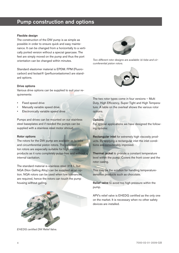### Pump construction and options

#### Flexible design

The construction of the DW pump is as simple as possible in order to ensure quick and easy maintenance. It can be changed from a horizontally to a vertically ported version without a special gearcase. The feet are simply moved on the pump and thus the port orientation can be changed within minutes.

Standard elastomer material is EPDM. FPM (Fluorocarbon) and Isolast® (perfluoroelastomer) are standard options.

#### Drive options

Various drive options can be supplied to suit your requirements:

- Fixed speed drive
- Manually variable speed drive
- Electronically variable speed drive

Pumps and drives can be mounted on our stainless steel baseplates and if needed the pumps can be supplied with a stainless steel motor shroud.

#### Rotor options

The rotors for the DW pump are available as bi-lobe and circumferential piston rotors. The patented piston rotors are especially suitable for high viscous products as it runs completely pulse-free and without internal cavitation.

The standard material is stainless steel 316 L, but NGA (Non Galling Alloy) can be supplied as an option. NGA rotors can be used when low tolerances are required, hence the rotors can touch the pump housing without galling.



*Two different rotor designs are available: bi-lobe and circumferential piston rotors.*



The two rotor types come in four versions – Multi Duty, High Efficiency, Super Tight and High Temperature. A table on the overleaf shows the various rotor options.

#### **Options**

For special applications we have designed the following options:

Rectangular inlet for extremely high viscosity products. By applying a rectangular inlet the inlet conditions are considerably improved.

Thermal jacket to provide a constant temperature level within the pump. Covers the front cover and the rotor casing.

This may be the solution for handling temperaturesensitive products such as chocolate.

Relief valve to avoid too high pressure within the pump.

APV's relief valve is EHEDG certified as the only one on the market. It is necessary when no other safety devices are installed.



*EHEDG certified DW Relief Valve.*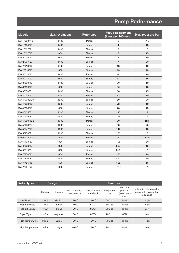## Pump Performance

| <b>Models</b> | <b>Max. revolutions</b> | Rotor type | Max. displacement<br>(litres per 100 revs.) | Max. pressure bar |
|---------------|-------------------------|------------|---------------------------------------------|-------------------|
| DW1/003/7.5   | 1400                    | Piston     | 3                                           | 7.5               |
| DW1/004/15    | 1400                    | Bi-lobe    | $\overline{4}$                              | 15                |
| DW1/007/7     | 1400                    | Bi-lobe    | $\overline{7}$                              | $\overline{7}$    |
| DW1/007/15    | 600                     | Bi-lobe    | $\overline{7}$                              | 15                |
| DW2/006/10    | 1400                    | Piston     | 6                                           | 10                |
| DW2/007/20    | 1400                    | Bi-lobe    | $\overline{7}$                              | 20                |
| DW2/013/10    | 1400                    | Bi-lobe    | 13                                          | 10                |
| DW2/013/15    | 600                     | Bi-lobe    | 13                                          | 20                |
| DW3/014/10    | 1400                    | Piston     | 14                                          | 10                |
| DW3/017/20    | 1400                    | Bi-lobe    | 17                                          | 15                |
| DW3/030/10    | 1400                    | Bi-lobe    | 30                                          | 10                |
| DW3/030/15    | 600                     | Bi-lobe    | 30                                          | 15                |
| DW3/050/5     | 1400                    | Bi-lobe    | 50                                          | 15                |
| DW4/033/10    | 1200                    | Piston     | 33                                          | 10                |
| DW4/0039/20   | 1200                    | Bi-lobe    | 39                                          | 20                |
| DW4/073/10    | 1200                    | Bi-lobe    | 73                                          | 10                |
| DW4/073/15    | 600                     | Bi-lobe    | 73                                          | 15                |
| DW4/125/5     | 1200                    | Bi-lobe    | 125                                         | 5                 |
| DW4/125/7     | 600                     | Bi-lobe    | 125                                         | $\overline{7}$    |
| DW5/080/12.5  | 1000                    | Piston     | 80                                          | 12,5              |
| DW5/093/25    | 1000                    | Bi-lobe    | 93                                          | 25                |
| DW5/142/15    | 1000                    | Bi-lobe    | 142                                         | 15                |
| DW5/256/7     | 1000                    | Bi-lobe    | 256                                         | $\overline{7}$    |
| DW6/172/12.5  | 800                     | Piston     | 172                                         | 12,5              |
| DW6/198/30    | 800                     | Bi-lobe    | 198                                         | 30                |
| DW6/308/15    | 800                     | Bi-lobe    | 308                                         | 15                |
| DW6/519/7     | 800                     | Bi-lobe    | 519                                         | $\overline{7}$    |
| DW7/370/10    | 600                     | Piston     | 370                                         | 10                |
| DW7/420/30    | 600                     | Bi-lobe    | 420                                         | 30                |
| DW7/725/15    | 600                     | Bi-lobe    | 725                                         | 15                |
| DW7/1016/7    | 600                     | Bi-lobe    | 1016                                        | $\overline{7}$    |

| <b>Rotor Types</b>     | <b>Design</b> |            | <b>Features</b>               |                             |                     |                                                |                                                                    |
|------------------------|---------------|------------|-------------------------------|-----------------------------|---------------------|------------------------------------------------|--------------------------------------------------------------------|
|                        | Material      | Clearance  | Max. operating<br>temperature | Max. tempera-<br>ture shock | Fully posi-<br>tive | Max. diff.<br>pressure<br>(% of pump)<br>max.) | Vulnerability towards for-<br>eign matter bigger than<br>clearance |
| Multi Duty             | 316L          | Medium     | $130^{\circ}$ C               | $110^{\circ}$ C             | 500 cp              | 100%                                           | High                                                               |
| <b>High Efficiency</b> | 316L          | Small      | $110^{\circ}$ C               | $50^{\circ}$ C              | 300 cp              | 100%                                           | High                                                               |
| <b>High Efficiency</b> | <b>NGA</b>    | Small      | $180^{\circ}$ C               | $80^{\circ}$ C              | 300 cp              | 100%                                           | Low                                                                |
| Super Tight            | <b>NGA</b>    | Very small | $180^{\circ}$ C               | $80^{\circ}$ C              | 100cp               | 80%                                            | Low                                                                |
| High Temperature       | 316L          | Large      | $180^{\circ}$ C               | $120^{\circ}$ C             | 700 cp              | 100%                                           | High                                                               |
| High Temperature       | <b>NGA</b>    | Large      | $210^{\circ}$ C               | $180^{\circ}$ C             | 700 cp              | 100%                                           | Low                                                                |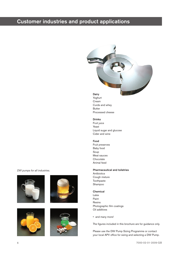### Customer industries and product applications

#### **Dairy**

Yoghurt Cream Curds and whey Butter Processed cheese

#### Drinks

Fruit juice Yeast Liquid sugar and glucose Cider and wine

#### Food

Fruit preserves Baby food Soup Meat sauces Chocolate Animal feed

#### Pharmaceutical and toiletries

Antibiotics Cough mixture **Toothpaste** Shampoo

#### Chemical

- Latex Paint Resins Photographic film coatings Oil additives
- and many more!

The figures included in this brochure are for guidance only.

Please use the DW Pump Sizing Programme or contact your local APV office for sizing and selecting a DW Pump.

*DW pumps for all industries.*







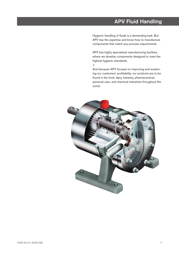### APV Fluid Handling

Hygienic handling of fluids is a demanding task. But APV has the expertise and know-how to manufacture components that match any process requirements.

APV has highly specialised manufacturing facilities, where we develop components designed to meet the highest hygienic standards.

+

And because APV focuses on improving and sustaining our customers' profitability, our products are to be found in the food, dairy, brewery, pharmaceutical, personal care, and chemical industries throughout the world.